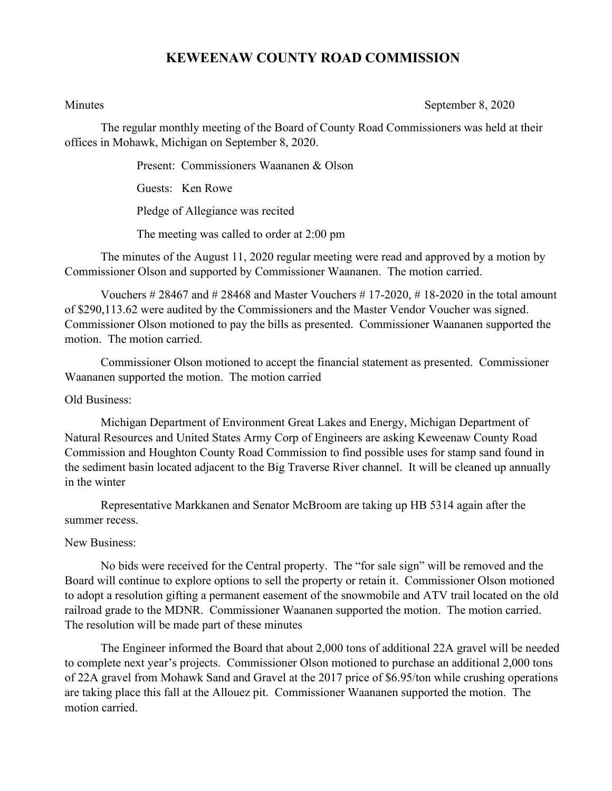## **KEWEENAW COUNTY ROAD COMMISSION**

Minutes September 8, 2020

The regular monthly meeting of the Board of County Road Commissioners was held at their offices in Mohawk, Michigan on September 8, 2020.

Present: Commissioners Waananen & Olson

Guests: Ken Rowe

Pledge of Allegiance was recited

The meeting was called to order at 2:00 pm

The minutes of the August 11, 2020 regular meeting were read and approved by a motion by Commissioner Olson and supported by Commissioner Waananen. The motion carried.

Vouchers  $\#28467$  and  $\#28468$  and Master Vouchers  $\#17-2020$ ,  $\#18-2020$  in the total amount of \$290,113.62 were audited by the Commissioners and the Master Vendor Voucher was signed. Commissioner Olson motioned to pay the bills as presented. Commissioner Waananen supported the motion. The motion carried.

Commissioner Olson motioned to accept the financial statement as presented. Commissioner Waananen supported the motion. The motion carried

Old Business:

Michigan Department of Environment Great Lakes and Energy, Michigan Department of Natural Resources and United States Army Corp of Engineers are asking Keweenaw County Road Commission and Houghton County Road Commission to find possible uses for stamp sand found in the sediment basin located adjacent to the Big Traverse River channel. It will be cleaned up annually in the winter

Representative Markkanen and Senator McBroom are taking up HB 5314 again after the summer recess.

New Business:

No bids were received for the Central property. The "for sale sign" will be removed and the Board will continue to explore options to sell the property or retain it. Commissioner Olson motioned to adopt a resolution gifting a permanent easement of the snowmobile and ATV trail located on the old railroad grade to the MDNR. Commissioner Waananen supported the motion. The motion carried. The resolution will be made part of these minutes

The Engineer informed the Board that about 2,000 tons of additional 22A gravel will be needed to complete next year's projects. Commissioner Olson motioned to purchase an additional 2,000 tons of 22A gravel from Mohawk Sand and Gravel at the 2017 price of \$6.95/ton while crushing operations are taking place this fall at the Allouez pit. Commissioner Waananen supported the motion. The motion carried.